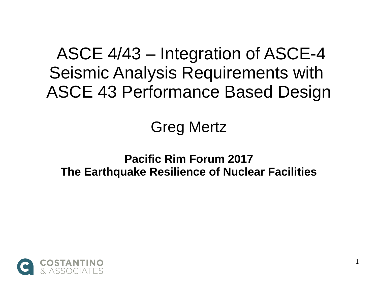ASCE 4/43 – Integration of ASCE-4 Seismic Analysis Requirements with ASCE 43 Performance Based Design

#### Greg Mertz

#### **Pacific Rim Forum 2017 The Earthquake Resilience of Nuclear Facilities**

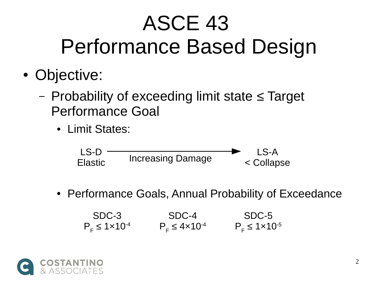# ASCE 43 Performance Based Design

- Objective:
	- Probability of exceeding limit state ≤ Target Performance Goal
		- Limit States:



• Performance Goals, Annual Probability of Exceedance

SDC-3  $P_F \leq 1 \times 10^{-4}$ SDC-4  $P_F \leq 4 \times 10^{-4}$ SDC-5  $P_F \leq 1 \times 10^{-5}$ 

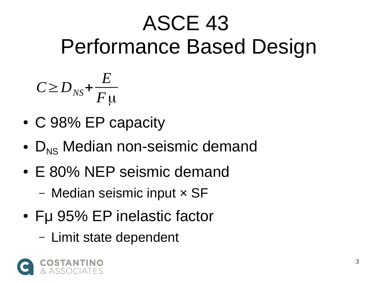# ASCE 43 Performance Based Design

$$
C \ge D_{NS} + \frac{E}{F \mu}
$$

- C 98% EP capacity
- $D_{NS}$  Median non-seismic demand
- E 80% NEP seismic demand
	- Median seismic input × SF
- Fu 95% EP inelastic factor
	- Limit state dependent

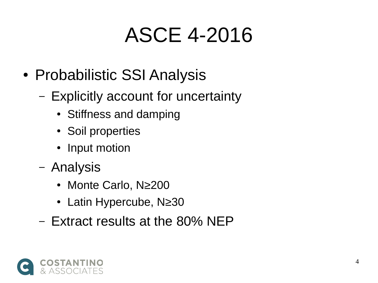#### ASCE 4-2016

- Probabilistic SSI Analysis
	- Explicitly account for uncertainty
		- Stiffness and damping
		- Soil properties
		- Input motion
	- Analysis
		- Monte Carlo, N≥200
		- Latin Hypercube, N≥30
	- Extract results at the 80% NEP

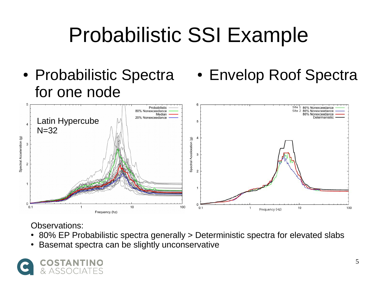# Probabilistic SSI Example

- Probabilistic Spectra for one node
- Envelop Roof Spectra



#### Observations:

- 80% EP Probabilistic spectra generally > Deterministic spectra for elevated slabs
- Basemat spectra can be slightly unconservative